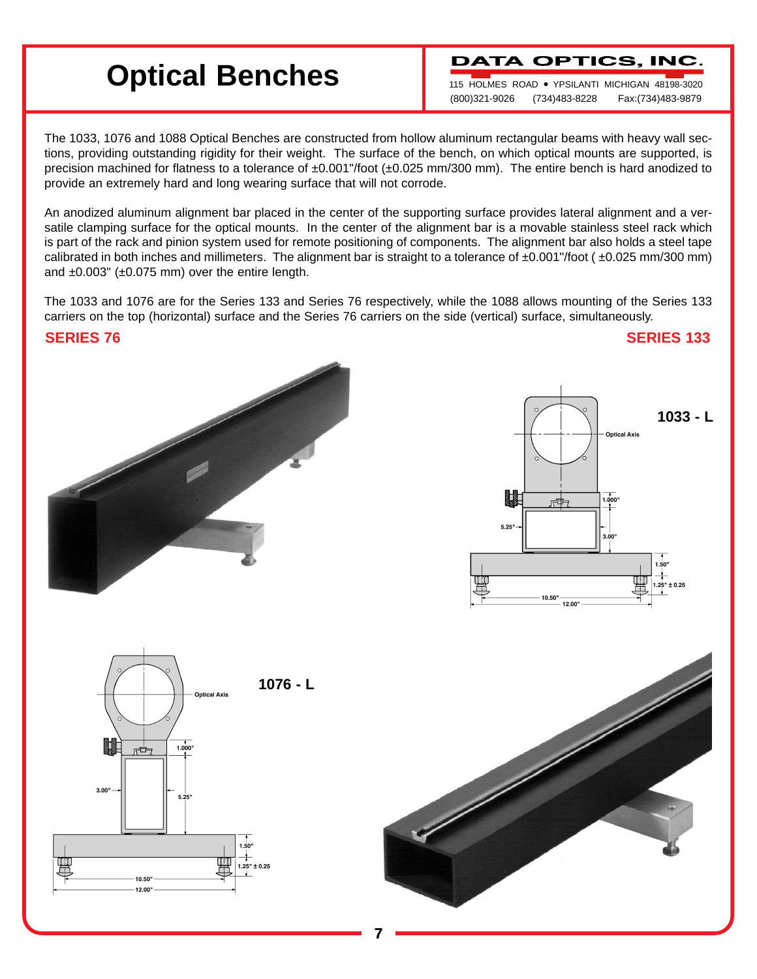# **Optical Benches**

**DATA OPTICS, INC** 

115 HOLMES ROAD ● YPSILANTI MICHIGAN 48198-3020 (800)321-9026 (734)483-8228 Fax:(734)483-9879

The 1033, 1076 and 1088 Optical Benches are constructed from hollow aluminum rectangular beams with heavy wall sections, providing outstanding rigidity for their weight. The surface of the bench, on which optical mounts are supported, is precision machined for flatness to a tolerance of ±0.001"/foot (±0.025 mm/300 mm). The entire bench is hard anodized to provide an extremely hard and long wearing surface that will not corrode.

An anodized aluminum alignment bar placed in the center of the supporting surface provides lateral alignment and a versatile clamping surface for the optical mounts. In the center of the alignment bar is a movable stainless steel rack which is part of the rack and pinion system used for remote positioning of components. The alignment bar also holds a steel tape calibrated in both inches and millimeters. The alignment bar is straight to a tolerance of  $\pm 0.001$ "/foot ( $\pm 0.025$  mm/300 mm) and  $\pm 0.003$ " ( $\pm 0.075$  mm) over the entire length.

The 1033 and 1076 are for the Series 133 and Series 76 respectively, while the 1088 allows mounting of the Series 133 carriers on the top (horizontal) surface and the Series 76 carriers on the side (vertical) surface, simultaneously.

**SERIES 76 SERIES 133**